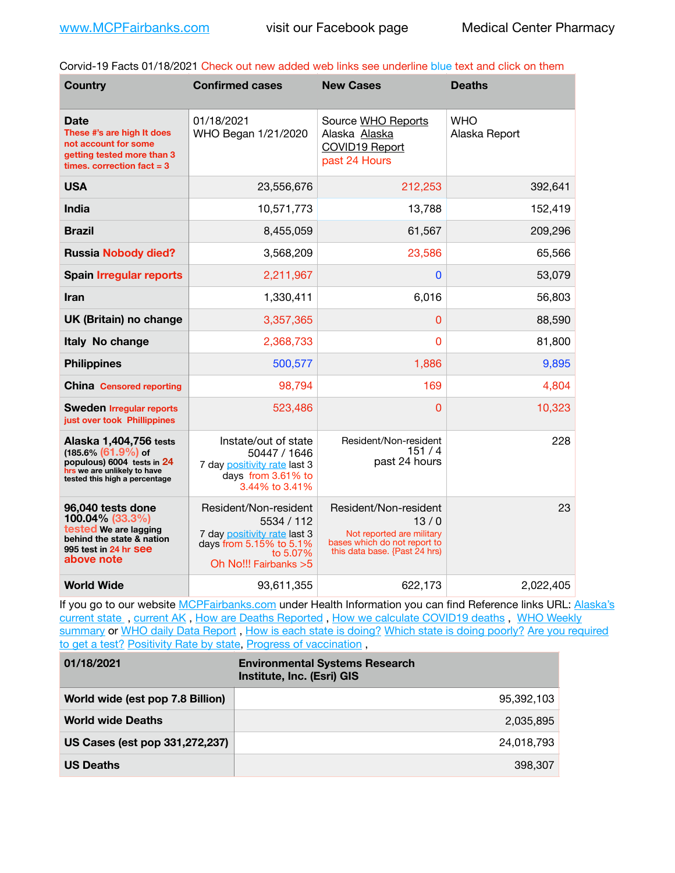Corvid-19 Facts 01/18/2021 Check out new added web links see underline blue text and click on them

| <b>Country</b>                                                                                                                                 | <b>Confirmed cases</b>                                                                                                               | <b>New Cases</b>                                                                                                            | <b>Deaths</b>               |
|------------------------------------------------------------------------------------------------------------------------------------------------|--------------------------------------------------------------------------------------------------------------------------------------|-----------------------------------------------------------------------------------------------------------------------------|-----------------------------|
| <b>Date</b><br>These #'s are high It does<br>not account for some<br>getting tested more than 3<br>times. correction $fact = 3$                | 01/18/2021<br>WHO Began 1/21/2020                                                                                                    | Source WHO Reports<br>Alaska Alaska<br>COVID19 Report<br>past 24 Hours                                                      | <b>WHO</b><br>Alaska Report |
| <b>USA</b>                                                                                                                                     | 23,556,676                                                                                                                           | 212,253                                                                                                                     | 392,641                     |
| <b>India</b>                                                                                                                                   | 10,571,773                                                                                                                           | 13,788                                                                                                                      | 152,419                     |
| <b>Brazil</b>                                                                                                                                  | 8,455,059                                                                                                                            | 61,567                                                                                                                      | 209,296                     |
| <b>Russia Nobody died?</b>                                                                                                                     | 3,568,209                                                                                                                            | 23,586                                                                                                                      | 65,566                      |
| <b>Spain Irregular reports</b>                                                                                                                 | 2,211,967                                                                                                                            | $\overline{0}$                                                                                                              | 53,079                      |
| <b>Iran</b>                                                                                                                                    | 1,330,411                                                                                                                            | 6,016                                                                                                                       | 56,803                      |
| UK (Britain) no change                                                                                                                         | 3,357,365                                                                                                                            | $\overline{0}$                                                                                                              | 88,590                      |
| Italy No change                                                                                                                                | 2,368,733                                                                                                                            | $\overline{0}$                                                                                                              | 81,800                      |
| <b>Philippines</b>                                                                                                                             | 500,577                                                                                                                              | 1,886                                                                                                                       | 9,895                       |
| <b>China Censored reporting</b>                                                                                                                | 98,794                                                                                                                               | 169                                                                                                                         | 4,804                       |
| <b>Sweden Irregular reports</b><br>just over took Phillippines                                                                                 | 523,486                                                                                                                              | $\overline{0}$                                                                                                              | 10,323                      |
| Alaska 1,404,756 tests<br>$(185.6\%)(61.9\%)$ of<br>populous) 6004 tests in 24<br>hrs we are unlikely to have<br>tested this high a percentage | Instate/out of state<br>50447 / 1646<br>7 day positivity rate last 3<br>days from 3.61% to<br>3.44% to 3.41%                         | Resident/Non-resident<br>151/4<br>past 24 hours                                                                             | 228                         |
| 96,040 tests done<br>100.04% (33.3%)<br>tested We are lagging<br>behind the state & nation<br>995 test in 24 hr See<br>above note              | Resident/Non-resident<br>5534 / 112<br>7 day positivity rate last 3<br>days from 5.15% to 5.1%<br>to 5.07%<br>Oh No!!! Fairbanks > 5 | Resident/Non-resident<br>13/0<br>Not reported are military<br>bases which do not report to<br>this data base. {Past 24 hrs) | 23                          |
| <b>World Wide</b>                                                                                                                              | 93,611,355                                                                                                                           | 622,173                                                                                                                     | 2,022,405                   |

If you go to our website [MCPFairbanks.com](http://www.MCPFairbanks.com) under Health Information you can find Reference links URL: Alaska's current state, current AK, [How are Deaths Reported](http://dhss.alaska.gov/dph/Epi/id/Pages/COVID-19/deathcounts.aspx), [How we calculate COVID19 deaths](https://coronavirus-response-alaska-dhss.hub.arcgis.com/search?collection=Document&groupIds=41ccb3344ebc4bd682c74073eba21f42), WHO Weekly [summary](http://www.who.int) or [WHO daily Data Report](https://covid19.who.int/table), [How is each state is doing?](https://www.msn.com/en-us/news/us/state-by-state-coronavirus-news/ar-BB13E1PX?fbclid=IwAR0_OBJH7lSyTN3ug_MsOeFnNgB1orTa9OBgilKJ7dhnwlVvHEsptuKkj1c) [Which state is doing poorly?](https://bestlifeonline.com/covid-outbreak-your-state/?utm_source=nsltr&utm_medium=email&utm_content=covid-outbreak-your-state&utm_campaign=launch) Are you required [to get a test?](http://dhss.alaska.gov/dph/Epi/id/SiteAssets/Pages/HumanCoV/Whattodoafteryourtest.pdf) [Positivity Rate by state](https://coronavirus.jhu.edu/testing/individual-states/alaska), [Progress of vaccination](https://covid.cdc.gov/covid-data-tracker/#vaccinations),

| 01/18/2021                       | <b>Environmental Systems Research</b><br>Institute, Inc. (Esri) GIS |
|----------------------------------|---------------------------------------------------------------------|
| World wide (est pop 7.8 Billion) | 95.392.103                                                          |
| <b>World wide Deaths</b>         | 2,035,895                                                           |
| US Cases (est pop 331,272,237)   | 24,018,793                                                          |
| <b>US Deaths</b>                 | 398,307                                                             |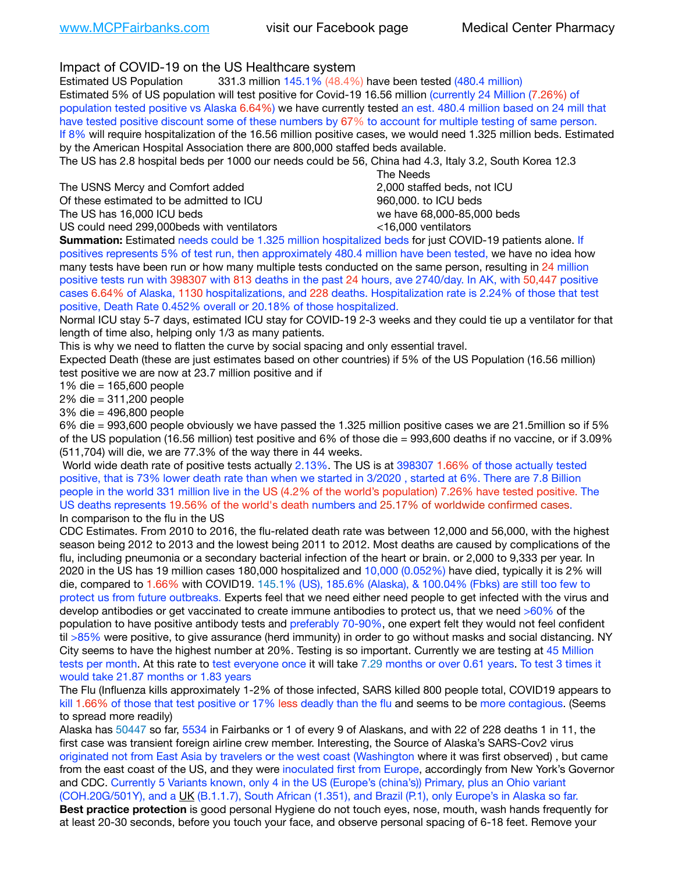Impact of COVID-19 on the US Healthcare system

Estimated US Population 331.3 million 145.1% (48.4%) have been tested (480.4 million) Estimated 5% of US population will test positive for Covid-19 16.56 million (currently 24 Million (7.26%) of population tested positive vs Alaska 6.64%) we have currently tested an est. 480.4 million based on 24 mill that have tested positive discount some of these numbers by 67% to account for multiple testing of same person. If 8% will require hospitalization of the 16.56 million positive cases, we would need 1.325 million beds. Estimated by the American Hospital Association there are 800,000 staffed beds available.

The US has 2.8 hospital beds per 1000 our needs could be 56, China had 4.3, Italy 3.2, South Korea 12.3

The USNS Mercy and Comfort added 2,000 staffed beds, not ICU Of these estimated to be admitted to ICU 860,000. to ICU beds

 The Needs The US has 16,000 ICU beds we have 68,000-85,000 beds US could need 299,000 beds with ventilators  $\leq 16,000$  ventilators

**Summation:** Estimated needs could be 1.325 million hospitalized beds for just COVID-19 patients alone. If positives represents 5% of test run, then approximately 480.4 million have been tested, we have no idea how many tests have been run or how many multiple tests conducted on the same person, resulting in 24 million positive tests run with 398307 with 813 deaths in the past 24 hours, ave 2740/day. In AK, with 50,447 positive cases 6.64% of Alaska, 1130 hospitalizations, and 228 deaths. Hospitalization rate is 2.24% of those that test positive, Death Rate 0.452% overall or 20.18% of those hospitalized.

Normal ICU stay 5-7 days, estimated ICU stay for COVID-19 2-3 weeks and they could tie up a ventilator for that length of time also, helping only 1/3 as many patients.

This is why we need to flatten the curve by social spacing and only essential travel.

Expected Death (these are just estimates based on other countries) if 5% of the US Population (16.56 million) test positive we are now at 23.7 million positive and if

1% die = 165,600 people

2% die = 311,200 people

3% die = 496,800 people

6% die = 993,600 people obviously we have passed the 1.325 million positive cases we are 21.5million so if 5% of the US population (16.56 million) test positive and 6% of those die = 993,600 deaths if no vaccine, or if 3.09% (511,704) will die, we are 77.3% of the way there in 44 weeks.

 World wide death rate of positive tests actually 2.13%. The US is at 398307 1.66% of those actually tested positive, that is 73% lower death rate than when we started in 3/2020 , started at 6%. There are 7.8 Billion people in the world 331 million live in the US (4.2% of the world's population) 7.26% have tested positive. The US deaths represents 19.56% of the world's death numbers and 25.17% of worldwide confirmed cases. In comparison to the flu in the US

CDC Estimates. From 2010 to 2016, the flu-related death rate was between 12,000 and 56,000, with the highest season being 2012 to 2013 and the lowest being 2011 to 2012. Most deaths are caused by complications of the flu, including pneumonia or a secondary bacterial infection of the heart or brain. or 2,000 to 9,333 per year. In 2020 in the US has 19 million cases 180,000 hospitalized and 10,000 (0.052%) have died, typically it is 2% will die, compared to 1.66% with COVID19. 145.1% (US), 185.6% (Alaska), & 100.04% (Fbks) are still too few to protect us from future outbreaks. Experts feel that we need either need people to get infected with the virus and develop antibodies or get vaccinated to create immune antibodies to protect us, that we need >60% of the population to have positive antibody tests and preferably 70-90%, one expert felt they would not feel confident til >85% were positive, to give assurance (herd immunity) in order to go without masks and social distancing. NY City seems to have the highest number at 20%. Testing is so important. Currently we are testing at 45 Million tests per month. At this rate to test everyone once it will take 7.29 months or over 0.61 years. To test 3 times it would take 21.87 months or 1.83 years

The Flu (Influenza kills approximately 1-2% of those infected, SARS killed 800 people total, COVID19 appears to kill 1.66% of those that test positive or 17% less deadly than the flu and seems to be more contagious. (Seems to spread more readily)

Alaska has 50447 so far, 5534 in Fairbanks or 1 of every 9 of Alaskans, and with 22 of 228 deaths 1 in 11, the first case was transient foreign airline crew member. Interesting, the Source of Alaska's SARS-Cov2 virus originated not from East Asia by travelers or the west coast (Washington where it was first observed) , but came from the east coast of the US, and they were inoculated first from Europe, accordingly from New York's Governor and CDC. Currently 5 Variants known, only 4 in the US (Europe's (china's)) Primary, plus an Ohio variant (COH.20G/501Y), and a [UK](https://www.cdc.gov/coronavirus/2019-ncov/transmission/variant-cases.html) (B.1.1.7), South African (1.351), and Brazil (P.1), only Europe's in Alaska so far. **Best practice protection** is good personal Hygiene do not touch eyes, nose, mouth, wash hands frequently for at least 20-30 seconds, before you touch your face, and observe personal spacing of 6-18 feet. Remove your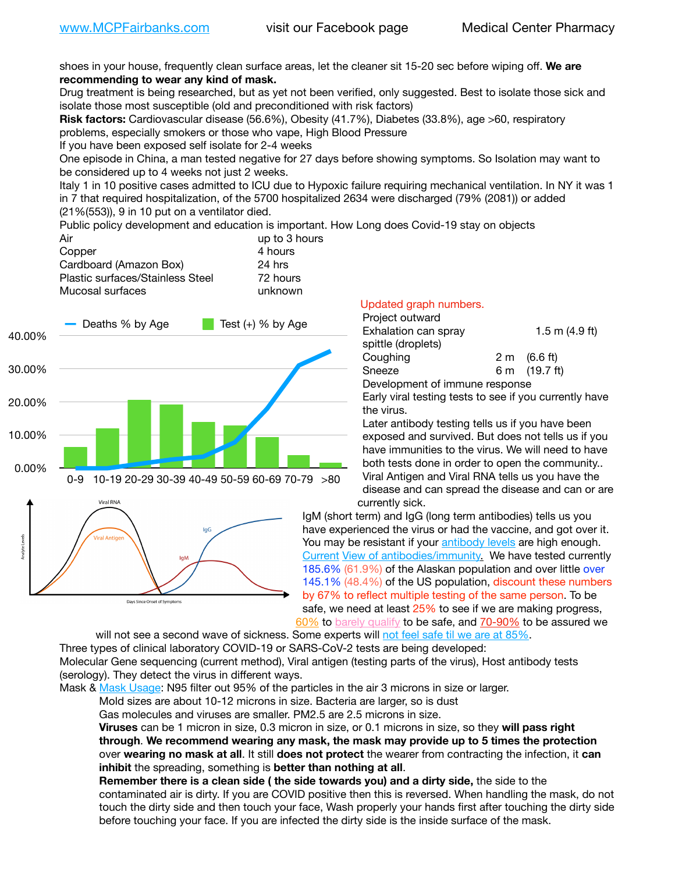shoes in your house, frequently clean surface areas, let the cleaner sit 15-20 sec before wiping off. **We are recommending to wear any kind of mask.**

Drug treatment is being researched, but as yet not been verified, only suggested. Best to isolate those sick and isolate those most susceptible (old and preconditioned with risk factors)

**Risk factors:** Cardiovascular disease (56.6%), Obesity (41.7%), Diabetes (33.8%), age >60, respiratory problems, especially smokers or those who vape, High Blood Pressure

If you have been exposed self isolate for 2-4 weeks

One episode in China, a man tested negative for 27 days before showing symptoms. So Isolation may want to be considered up to 4 weeks not just 2 weeks.

Italy 1 in 10 positive cases admitted to ICU due to Hypoxic failure requiring mechanical ventilation. In NY it was 1 in 7 that required hospitalization, of the 5700 hospitalized 2634 were discharged (79% (2081)) or added (21%(553)), 9 in 10 put on a ventilator died.

Public policy development and education is important. How Long does Covid-19 stay on objects

| Air                              | up to 3 hours |
|----------------------------------|---------------|
| Copper                           | 4 hours       |
| Cardboard (Amazon Box)           | 24 hrs        |
| Plastic surfaces/Stainless Steel | 72 hours      |
| Mucosal surfaces                 | unknown       |



## Updated graph numbers.

| Project outward                |  |                        |
|--------------------------------|--|------------------------|
| Exhalation can spray           |  | 1.5 m $(4.9$ ft)       |
| spittle (droplets)             |  |                        |
| Coughing                       |  | $2 \text{ m}$ (6.6 ft) |
| Sneeze                         |  | 6 m (19.7 ft)          |
| Development of immune response |  |                        |

Early viral testing tests to see if you currently have the virus.

Later antibody testing tells us if you have been exposed and survived. But does not tells us if you have immunities to the virus. We will need to have both tests done in order to open the community.. Viral Antigen and Viral RNA tells us you have the disease and can spread the disease and can or are currently sick.

IgM (short term) and IgG (long term antibodies) tells us you have experienced the virus or had the vaccine, and got over it. You may be resistant if your [antibody levels](https://www.cdc.gov/coronavirus/2019-ncov/lab/resources/antibody-tests.html) are high enough. [Current](https://l.facebook.com/l.php?u=https://www.itv.com/news/2020-10-26/covid-19-antibody-levels-reduce-over-time-study-finds?fbclid=IwAR3Dapzh1qIH1EIOdUQI2y8THf7jfA4KBCaJz8Qg-8xe1YsrR4nsAHDIXSY&h=AT30nut8pkqp0heVuz5W2rT2WFFm-2Ab52BsJxZZCNlGsX58IpPkuVEPULbIUV_M16MAukx1Kwb657DPXxsgDN1rpOQ4gqBtQsmVYiWpnHPJo2RQsU6CPMd14lgLnQnFWxfVi6zvmw&__tn__=-UK-R&c%5B0%5D=AT1GaRAfR_nGAyqcn7TI1-PpvqOqEKXHnz6TDWvRStMnOSH7boQDvTiwTOc6VId9UES6LKiOmm2m88wKCoolkJyOFvakt2Z1Mw8toYWGGoWW23r0MNVBl7cYJXB_UOvGklNHaNnaNr1_S7NhT3BSykNOBg) [View of antibodies/immunity](https://www.livescience.com/antibodies.html)[.](https://www.itv.com/news/2020-10-26/covid-19-antibody-levels-reduce-over-time-study-finds) We have tested currently 185.6% (61.9%) of the Alaskan population and over little over 145.1% (48.4%) of the US population, discount these numbers by 67% to reflect multiple testing of the same person. To be safe, we need at least 25% to see if we are making progress, [60%](https://www.jhsph.edu/covid-19/articles/achieving-herd-immunity-with-covid19.html) to [barely qualify](https://www.nature.com/articles/d41586-020-02948-4) to be safe, and [70-90%](https://www.mayoclinic.org/herd-immunity-and-coronavirus/art-20486808) to be assured we

will not see a second wave of sickness. Some experts will [not feel safe til we are at 85%.](https://www.bannerhealth.com/healthcareblog/teach-me/what-is-herd-immunity) Three types of clinical laboratory COVID-19 or SARS-CoV-2 tests are being developed: Molecular Gene sequencing (current method), Viral antigen (testing parts of the virus), Host antibody tests (serology). They detect the virus in different ways.

Mask & [Mask Usage:](https://www.nationalgeographic.com/history/2020/03/how-cities-flattened-curve-1918-spanish-flu-pandemic-coronavirus/) N95 filter out 95% of the particles in the air 3 microns in size or larger.

Mold sizes are about 10-12 microns in size. Bacteria are larger, so is dust

Gas molecules and viruses are smaller. PM2.5 are 2.5 microns in size.

**Viruses** can be 1 micron in size, 0.3 micron in size, or 0.1 microns in size, so they **will pass right through**. **We recommend wearing any mask, the mask may provide up to 5 times the protection** over **wearing no mask at all**. It still **does not protect** the wearer from contracting the infection, it **can inhibit** the spreading, something is **better than nothing at all**.

**Remember there is a clean side ( the side towards you) and a dirty side,** the side to the contaminated air is dirty. If you are COVID positive then this is reversed. When handling the mask, do not touch the dirty side and then touch your face, Wash properly your hands first after touching the dirty side before touching your face. If you are infected the dirty side is the inside surface of the mask.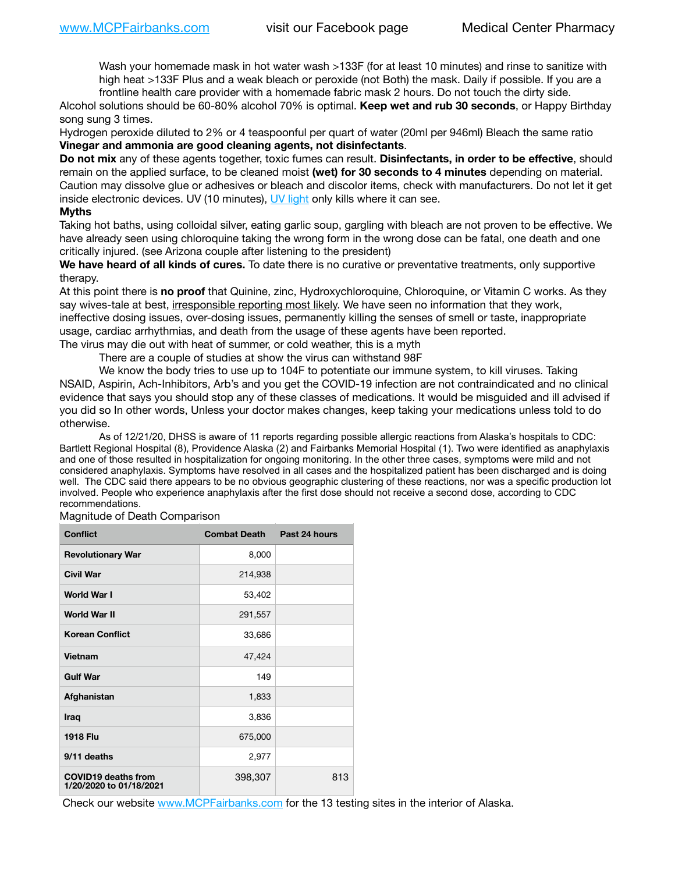Wash your homemade mask in hot water wash >133F (for at least 10 minutes) and rinse to sanitize with high heat >133F Plus and a weak bleach or peroxide (not Both) the mask. Daily if possible. If you are a frontline health care provider with a homemade fabric mask 2 hours. Do not touch the dirty side.

Alcohol solutions should be 60-80% alcohol 70% is optimal. **Keep wet and rub 30 seconds**, or Happy Birthday song sung 3 times.

Hydrogen peroxide diluted to 2% or 4 teaspoonful per quart of water (20ml per 946ml) Bleach the same ratio **Vinegar and ammonia are good cleaning agents, not disinfectants**.

**Do not mix** any of these agents together, toxic fumes can result. **Disinfectants, in order to be effective**, should remain on the applied surface, to be cleaned moist **(wet) for 30 seconds to 4 minutes** depending on material. Caution may dissolve glue or adhesives or bleach and discolor items, check with manufacturers. Do not let it get inside electronic devices. UV (10 minutes), [UV light](http://www.docreviews.me/best-uv-boxes-2020/?fbclid=IwAR3bvFtXB48OoBBSvYvTEnKuHNPbipxM6jUo82QUSw9wckxjC7wwRZWabGw) only kills where it can see.

## **Myths**

Taking hot baths, using colloidal silver, eating garlic soup, gargling with bleach are not proven to be effective. We have already seen using chloroquine taking the wrong form in the wrong dose can be fatal, one death and one critically injured. (see Arizona couple after listening to the president)

**We have heard of all kinds of cures.** To date there is no curative or preventative treatments, only supportive therapy.

At this point there is **no proof** that Quinine, zinc, Hydroxychloroquine, Chloroquine, or Vitamin C works. As they say wives-tale at best, irresponsible reporting most likely. We have seen no information that they work, ineffective dosing issues, over-dosing issues, permanently killing the senses of smell or taste, inappropriate usage, cardiac arrhythmias, and death from the usage of these agents have been reported.

The virus may die out with heat of summer, or cold weather, this is a myth

There are a couple of studies at show the virus can withstand 98F

We know the body tries to use up to 104F to potentiate our immune system, to kill viruses. Taking NSAID, Aspirin, Ach-Inhibitors, Arb's and you get the COVID-19 infection are not contraindicated and no clinical evidence that says you should stop any of these classes of medications. It would be misguided and ill advised if you did so In other words, Unless your doctor makes changes, keep taking your medications unless told to do otherwise.

As of 12/21/20, DHSS is aware of 11 reports regarding possible allergic reactions from Alaska's hospitals to CDC: Bartlett Regional Hospital (8), Providence Alaska (2) and Fairbanks Memorial Hospital (1). Two were identified as anaphylaxis and one of those resulted in hospitalization for ongoing monitoring. In the other three cases, symptoms were mild and not considered anaphylaxis. Symptoms have resolved in all cases and the hospitalized patient has been discharged and is doing well. The CDC said there appears to be no obvious geographic clustering of these reactions, nor was a specific production lot involved. People who experience anaphylaxis after the first dose should not receive a second dose, according to CDC recommendations.

| <b>Conflict</b>                                       | <b>Combat Death</b> | Past 24 hours |
|-------------------------------------------------------|---------------------|---------------|
| <b>Revolutionary War</b>                              | 8,000               |               |
| <b>Civil War</b>                                      | 214,938             |               |
| World War I                                           | 53,402              |               |
| <b>World War II</b>                                   | 291,557             |               |
| <b>Korean Conflict</b>                                | 33,686              |               |
| Vietnam                                               | 47,424              |               |
| <b>Gulf War</b>                                       | 149                 |               |
| Afghanistan                                           | 1,833               |               |
| <b>Iraq</b>                                           | 3,836               |               |
| <b>1918 Flu</b>                                       | 675,000             |               |
| 9/11 deaths                                           | 2,977               |               |
| <b>COVID19 deaths from</b><br>1/20/2020 to 01/18/2021 | 398,307             | 813           |

Magnitude of Death Comparison

Check our website [www.MCPFairbanks.com](http://www.MCPFairbanks.com) for the 13 testing sites in the interior of Alaska.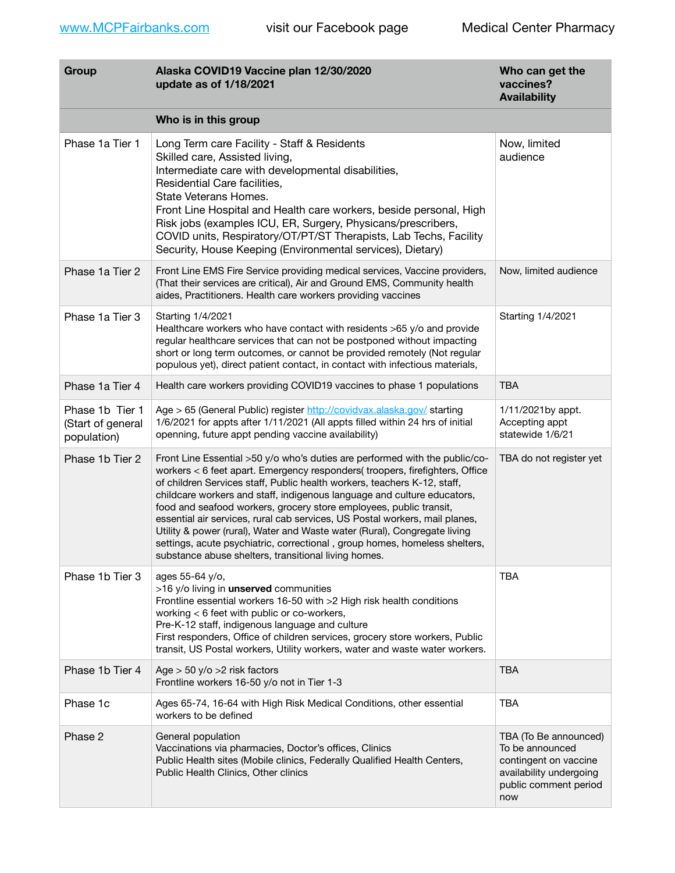| Group                                               | Alaska COVID19 Vaccine plan 12/30/2020<br>update as of 1/18/2021                                                                                                                                                                                                                                                                                                                                                                                                                                                                                                                                                                                                                           | Who can get the<br>vaccines?<br><b>Availability</b>                                                                          |
|-----------------------------------------------------|--------------------------------------------------------------------------------------------------------------------------------------------------------------------------------------------------------------------------------------------------------------------------------------------------------------------------------------------------------------------------------------------------------------------------------------------------------------------------------------------------------------------------------------------------------------------------------------------------------------------------------------------------------------------------------------------|------------------------------------------------------------------------------------------------------------------------------|
|                                                     | Who is in this group                                                                                                                                                                                                                                                                                                                                                                                                                                                                                                                                                                                                                                                                       |                                                                                                                              |
| Phase 1a Tier 1                                     | Long Term care Facility - Staff & Residents<br>Skilled care, Assisted living,<br>Intermediate care with developmental disabilities,<br>Residential Care facilities,<br>State Veterans Homes.<br>Front Line Hospital and Health care workers, beside personal, High<br>Risk jobs (examples ICU, ER, Surgery, Physicans/prescribers,<br>COVID units, Respiratory/OT/PT/ST Therapists, Lab Techs, Facility<br>Security, House Keeping (Environmental services), Dietary)                                                                                                                                                                                                                      | Now, limited<br>audience                                                                                                     |
| Phase 1a Tier 2                                     | Front Line EMS Fire Service providing medical services, Vaccine providers,<br>(That their services are critical), Air and Ground EMS, Community health<br>aides, Practitioners. Health care workers providing vaccines                                                                                                                                                                                                                                                                                                                                                                                                                                                                     | Now, limited audience                                                                                                        |
| Phase 1a Tier 3                                     | Starting 1/4/2021<br>Healthcare workers who have contact with residents >65 y/o and provide<br>regular healthcare services that can not be postponed without impacting<br>short or long term outcomes, or cannot be provided remotely (Not regular<br>populous yet), direct patient contact, in contact with infectious materials,                                                                                                                                                                                                                                                                                                                                                         | Starting 1/4/2021                                                                                                            |
| Phase 1a Tier 4                                     | Health care workers providing COVID19 vaccines to phase 1 populations                                                                                                                                                                                                                                                                                                                                                                                                                                                                                                                                                                                                                      | TBA                                                                                                                          |
| Phase 1b Tier 1<br>(Start of general<br>population) | Age > 65 (General Public) register http://covidvax.alaska.gov/ starting<br>1/6/2021 for appts after 1/11/2021 (All appts filled within 24 hrs of initial<br>openning, future appt pending vaccine availability)                                                                                                                                                                                                                                                                                                                                                                                                                                                                            | 1/11/2021by appt.<br>Accepting appt<br>statewide 1/6/21                                                                      |
| Phase 1b Tier 2                                     | Front Line Essential >50 y/o who's duties are performed with the public/co-<br>workers < 6 feet apart. Emergency responders( troopers, firefighters, Office<br>of children Services staff, Public health workers, teachers K-12, staff,<br>childcare workers and staff, indigenous language and culture educators,<br>food and seafood workers, grocery store employees, public transit,<br>essential air services, rural cab services, US Postal workers, mail planes,<br>Utility & power (rural), Water and Waste water (Rural), Congregate living<br>settings, acute psychiatric, correctional, group homes, homeless shelters,<br>substance abuse shelters, transitional living homes. | TBA do not register yet                                                                                                      |
| Phase 1b Tier 3                                     | ages 55-64 y/o,<br>>16 y/o living in unserved communities<br>Frontline essential workers 16-50 with >2 High risk health conditions<br>working < 6 feet with public or co-workers,<br>Pre-K-12 staff, indigenous language and culture<br>First responders, Office of children services, grocery store workers, Public<br>transit, US Postal workers, Utility workers, water and waste water workers.                                                                                                                                                                                                                                                                                        | <b>TBA</b>                                                                                                                   |
| Phase 1b Tier 4                                     | Age $>$ 50 y/o $>$ 2 risk factors<br>Frontline workers 16-50 y/o not in Tier 1-3                                                                                                                                                                                                                                                                                                                                                                                                                                                                                                                                                                                                           | <b>TBA</b>                                                                                                                   |
| Phase 1c                                            | Ages 65-74, 16-64 with High Risk Medical Conditions, other essential<br>workers to be defined                                                                                                                                                                                                                                                                                                                                                                                                                                                                                                                                                                                              | <b>TBA</b>                                                                                                                   |
| Phase 2                                             | General population<br>Vaccinations via pharmacies, Doctor's offices, Clinics<br>Public Health sites (Mobile clinics, Federally Qualified Health Centers,<br>Public Health Clinics, Other clinics                                                                                                                                                                                                                                                                                                                                                                                                                                                                                           | TBA (To Be announced)<br>To be announced<br>contingent on vaccine<br>availability undergoing<br>public comment period<br>now |